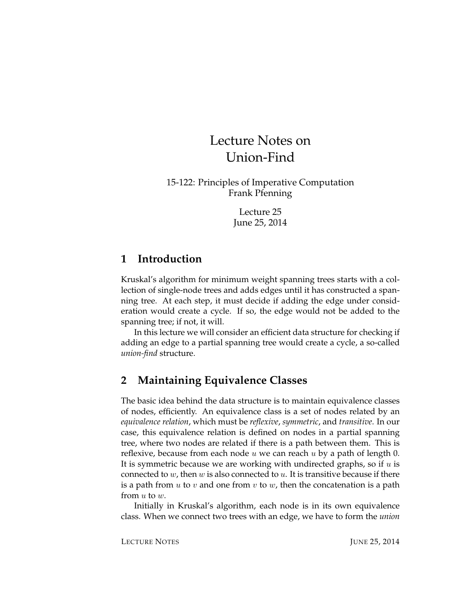# Lecture Notes on Union-Find

15-122: Principles of Imperative Computation Frank Pfenning

> Lecture 25 June 25, 2014

# **1 Introduction**

Kruskal's algorithm for minimum weight spanning trees starts with a collection of single-node trees and adds edges until it has constructed a spanning tree. At each step, it must decide if adding the edge under consideration would create a cycle. If so, the edge would not be added to the spanning tree; if not, it will.

In this lecture we will consider an efficient data structure for checking if adding an edge to a partial spanning tree would create a cycle, a so-called *union-find* structure.

# **2 Maintaining Equivalence Classes**

The basic idea behind the data structure is to maintain equivalence classes of nodes, efficiently. An equivalence class is a set of nodes related by an *equivalence relation*, which must be *reflexive*, *symmetric*, and *transitive*. In our case, this equivalence relation is defined on nodes in a partial spanning tree, where two nodes are related if there is a path between them. This is reflexive, because from each node u we can reach u by a path of length 0. It is symmetric because we are working with undirected graphs, so if  $u$  is connected to  $w$ , then  $w$  is also connected to  $u$ . It is transitive because if there is a path from u to v and one from v to w, then the concatenation is a path from u to w.

Initially in Kruskal's algorithm, each node is in its own equivalence class. When we connect two trees with an edge, we have to form the *union*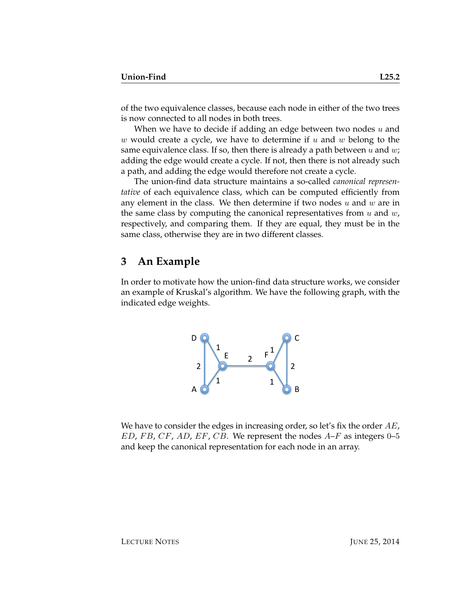of the two equivalence classes, because each node in either of the two trees is now connected to all nodes in both trees.

When we have to decide if adding an edge between two nodes  $u$  and w would create a cycle, we have to determine if  $u$  and  $w$  belong to the same equivalence class. If so, then there is already a path between  $u$  and  $w$ ; adding the edge would create a cycle. If not, then there is not already such a path, and adding the edge would therefore not create a cycle.

The union-find data structure maintains a so-called *canonical representative* of each equivalence class, which can be computed efficiently from any element in the class. We then determine if two nodes  $u$  and  $w$  are in the same class by computing the canonical representatives from  $u$  and  $w$ , respectively, and comparing them. If they are equal, they must be in the same class, otherwise they are in two different classes.

# **3 An Example**

In order to motivate how the union-find data structure works, we consider an example of Kruskal's algorithm. We have the following graph, with the indicated edge weights.



We have to consider the edges in increasing order, so let's fix the order  $AE$ ,  $ED, FB, CF, AD, EF, CB.$  We represent the nodes  $A-F$  as integers 0–5 and keep the canonical representation for each node in an array.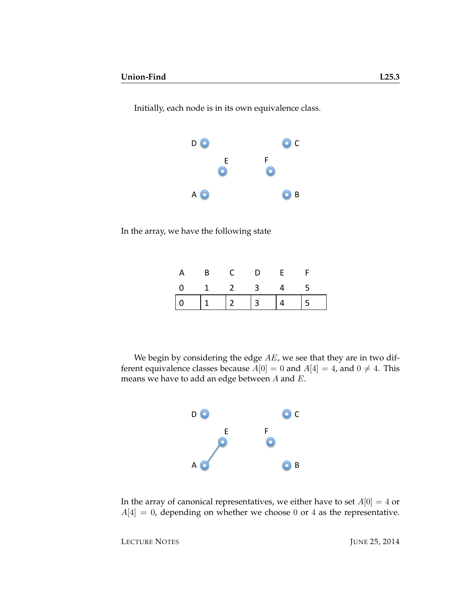$D$   $\odot$  $\odot$  c E F  $\odot$  $\odot$ A O B

In the array, we have the following state

| A           |  | B C D E |  |
|-------------|--|---------|--|
| 0 1 2 3 4 5 |  |         |  |
|             |  |         |  |

We begin by considering the edge  $AE$ , we see that they are in two different equivalence classes because  $A[0] = 0$  and  $A[4] = 4$ , and  $0 \neq 4$ . This means we have to add an edge between  $A$  and  $E$ .



In the array of canonical representatives, we either have to set  $A[0] = 4$  or  $A[4] = 0$ , depending on whether we choose 0 or 4 as the representative.

LECTURE NOTES JUNE 25, 2014

Initially, each node is in its own equivalence class.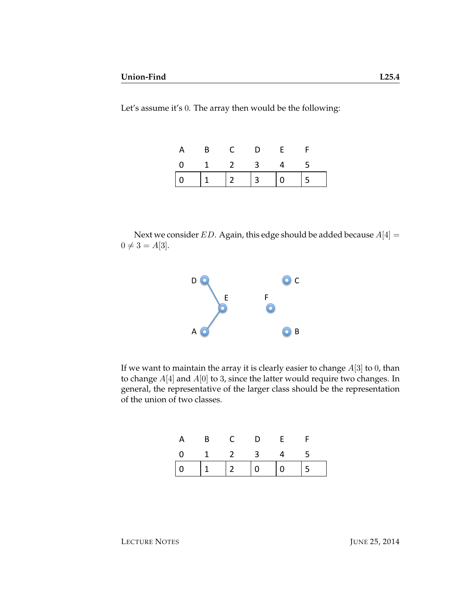Let's assume it's 0. The array then would be the following:

| A |                             | D. |  |
|---|-----------------------------|----|--|
|   | $0 \quad 1 \quad 2 \quad 3$ |    |  |
|   |                             |    |  |

Next we consider ED. Again, this edge should be added because  $A[4] =$  $0 \neq 3 = A[3]$ .



If we want to maintain the array it is clearly easier to change  $A[3]$  to 0, than to change  $A[4]$  and  $A[0]$  to 3, since the latter would require two changes. In general, the representative of the larger class should be the representation of the union of two classes.

| A | B C D E     |  |  |
|---|-------------|--|--|
|   | 0 1 2 3 4 5 |  |  |
|   |             |  |  |

LECTURE NOTES JUNE 25, 2014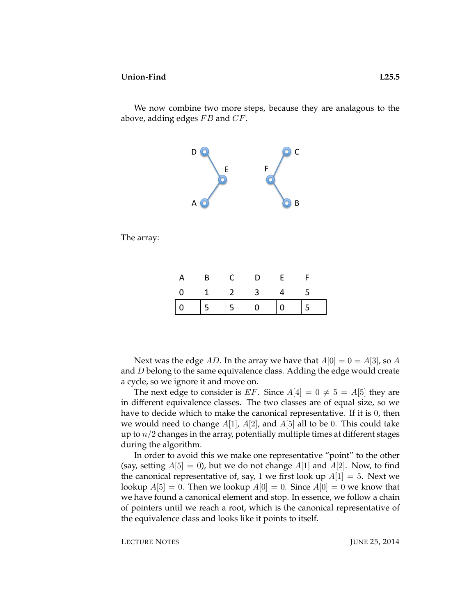above, adding edges  $FB$  and  $CF$ .

We now combine two more steps, because they are analagous to the



The array:

| A | $\overline{B}$              | D | - F |  |
|---|-----------------------------|---|-----|--|
|   | $0 \quad 1 \quad 2 \quad 3$ |   |     |  |
|   |                             |   |     |  |

Next was the edge AD. In the array we have that  $A[0] = 0 = A[3]$ , so A and D belong to the same equivalence class. Adding the edge would create a cycle, so we ignore it and move on.

The next edge to consider is EF. Since  $A[4] = 0 \neq 5 = A[5]$  they are in different equivalence classes. The two classes are of equal size, so we have to decide which to make the canonical representative. If it is 0, then we would need to change  $A[1]$ ,  $A[2]$ , and  $A[5]$  all to be 0. This could take up to  $n/2$  changes in the array, potentially multiple times at different stages during the algorithm.

In order to avoid this we make one representative "point" to the other (say, setting  $A[5] = 0$ ), but we do not change  $A[1]$  and  $A[2]$ . Now, to find the canonical representative of, say, 1 we first look up  $A[1] = 5$ . Next we lookup  $A[5] = 0$ . Then we lookup  $A[0] = 0$ . Since  $A[0] = 0$  we know that we have found a canonical element and stop. In essence, we follow a chain of pointers until we reach a root, which is the canonical representative of the equivalence class and looks like it points to itself.

LECTURE NOTES JUNE 25, 2014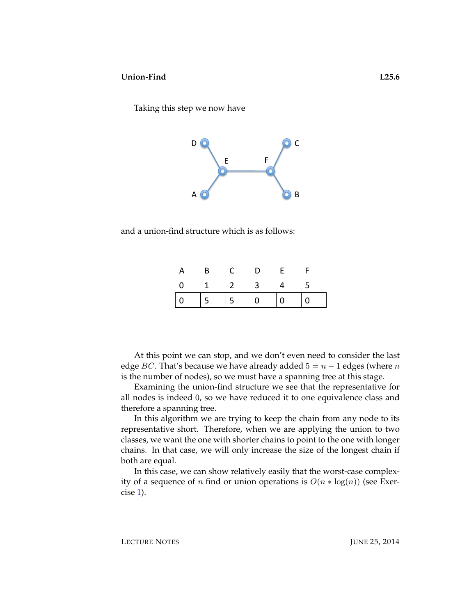Taking this step we now have



and a union-find structure which is as follows:

| A                                                                                                                                                                                              | $\overline{B}$ |                             | D. |   |                |
|------------------------------------------------------------------------------------------------------------------------------------------------------------------------------------------------|----------------|-----------------------------|----|---|----------------|
|                                                                                                                                                                                                |                | $0 \quad 1 \quad 2 \quad 3$ |    | 4 | - 5            |
| $\begin{array}{ c c c c c c c c } \hline \multicolumn{1}{ c }{0} & \multicolumn{1}{ c }{5} & \multicolumn{1}{ c }{5} & \multicolumn{1}{ c }{0} & \multicolumn{1}{ c }{0} \\\hline \end{array}$ |                |                             |    |   | $\overline{0}$ |

At this point we can stop, and we don't even need to consider the last edge BC. That's because we have already added  $5 = n - 1$  edges (where n is the number of nodes), so we must have a spanning tree at this stage.

Examining the union-find structure we see that the representative for all nodes is indeed 0, so we have reduced it to one equivalence class and therefore a spanning tree.

In this algorithm we are trying to keep the chain from any node to its representative short. Therefore, when we are applying the union to two classes, we want the one with shorter chains to point to the one with longer chains. In that case, we will only increase the size of the longest chain if both are equal.

In this case, we can show relatively easily that the worst-case complexity of a sequence of *n* find or union operations is  $O(n * log(n))$  (see Exercise [1\)](#page-6-0).